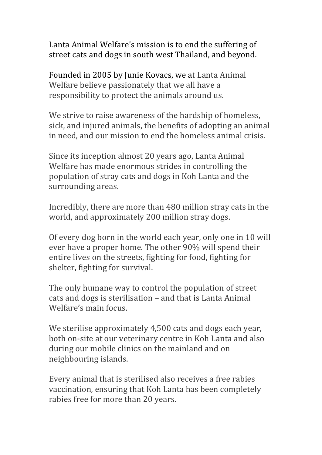Lanta Animal Welfare's mission is to end the suffering of street cats and dogs in south west Thailand, and beyond.

Founded in 2005 by Junie Kovacs, we at Lanta Animal Welfare believe passionately that we all have a responsibility to protect the animals around us.

We strive to raise awareness of the hardship of homeless, sick, and injured animals, the benefits of adopting an animal in need, and our mission to end the homeless animal crisis.

Since its inception almost 20 years ago, Lanta Animal Welfare has made enormous strides in controlling the population of stray cats and dogs in Koh Lanta and the surrounding areas.

Incredibly, there are more than 480 million stray cats in the world, and approximately 200 million stray dogs.

Of every dog born in the world each year, only one in 10 will ever have a proper home. The other 90% will spend their entire lives on the streets, fighting for food, fighting for shelter, fighting for survival.

The only humane way to control the population of street cats and dogs is sterilisation – and that is Lanta Animal Welfare's main focus

We sterilise approximately 4,500 cats and dogs each year, both on-site at our veterinary centre in Koh Lanta and also during our mobile clinics on the mainland and on neighbouring islands.

Every animal that is sterilised also receives a free rabies vaccination, ensuring that Koh Lanta has been completely rabies free for more than 20 years.